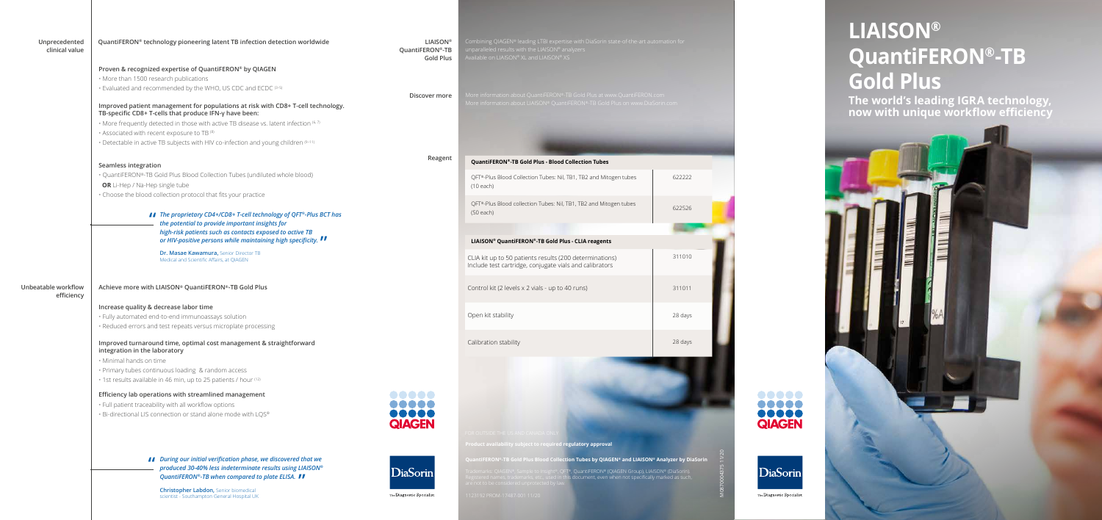More information about QuantiFERON®-TB Gold Plus at www.QuantiFERON.com More information about LIAISON® QuantiFERON®-TB Gold Plus on www.DiaSorin.com

## **LIAISON® QuantiFERON®-TB Gold Plus**

**The world's leading IGRA technology, now with unique workflow efficiency**





## **Product a** egulatory approval

ion Tubes by QIAGEN® and LIAISON® Analyzer by DiaSorin

| Unprecedented<br>clinical value   | QuantiFERON® technology pioneering latent TB infection detection worldwide                                                                 | <b>LIAISON®</b><br>QuantiFERON®-TB<br><b>Gold Plus</b> | Combining QIAGEN® leading LTBI expertise with<br>unparalleled results with the LIAISON® analyzers<br>Available on LIAISON® XL and LIAISON® XS |
|-----------------------------------|--------------------------------------------------------------------------------------------------------------------------------------------|--------------------------------------------------------|-----------------------------------------------------------------------------------------------------------------------------------------------|
|                                   | Proven & recognized expertise of QuantiFERON® by QIAGEN                                                                                    |                                                        |                                                                                                                                               |
|                                   | · More than 1500 research publications                                                                                                     |                                                        |                                                                                                                                               |
|                                   | • Evaluated and recommended by the WHO, US CDC and ECDC (3-5)                                                                              |                                                        |                                                                                                                                               |
|                                   |                                                                                                                                            | Discover more                                          | More information about QuantiFERON®-TB Gold                                                                                                   |
|                                   | Improved patient management for populations at risk with CD8+ T-cell technology.<br>TB-specific CD8+ T-cells that produce IFN-y have been: |                                                        | More information about LIAISON® QuantiFERON                                                                                                   |
|                                   | · More frequently detected in those with active TB disease vs. latent infection (6, 7)                                                     |                                                        |                                                                                                                                               |
|                                   | • Associated with recent exposure to TB <sup>(8)</sup>                                                                                     |                                                        |                                                                                                                                               |
|                                   | • Detectable in active TB subjects with HIV co-infection and young children (9-11)                                                         |                                                        |                                                                                                                                               |
|                                   |                                                                                                                                            |                                                        |                                                                                                                                               |
|                                   | Seamless integration                                                                                                                       | Reagent                                                | QuantiFERON®-TB Gold Plus - Blood Collecti                                                                                                    |
|                                   | · QuantiFERON®-TB Gold Plus Blood Collection Tubes (undiluted whole blood)                                                                 |                                                        |                                                                                                                                               |
|                                   | OR Li-Hep / Na-Hep single tube                                                                                                             |                                                        | QFT®-Plus Blood Collection Tubes: Nil, TB1, TB                                                                                                |
|                                   | · Choose the blood collection protocol that fits your practice                                                                             |                                                        | $(10$ each)                                                                                                                                   |
|                                   |                                                                                                                                            |                                                        | QFT®-Plus Blood collection Tubes: Nil, TB1, TB                                                                                                |
|                                   |                                                                                                                                            |                                                        | $(50$ each)                                                                                                                                   |
|                                   | ■ The proprietary CD4+/CD8+ T-cell technology of QFT®-Plus BCT has<br>the potential to provide important insights for                      |                                                        |                                                                                                                                               |
|                                   | high-risk patients such as contacts exposed to active TB                                                                                   |                                                        |                                                                                                                                               |
|                                   | or HIV-positive persons while maintaining high specificity.                                                                                |                                                        | LIAISON® QuantiFERON®-TB Gold Plus - CLI/                                                                                                     |
|                                   |                                                                                                                                            |                                                        |                                                                                                                                               |
|                                   | Dr. Masae Kawamura, Senior Director TB<br>Medical and Scientific Affairs, at QIAGEN                                                        |                                                        | CLIA kit up to 50 patients results (200 dete<br>Include test cartridge, conjugate vials and                                                   |
| Unbeatable workflow<br>efficiency | Achieve more with LIAISON® QuantiFERON®-TB Gold Plus                                                                                       |                                                        | Control kit (2 levels x 2 vials - up to 40 runs                                                                                               |
|                                   | Increase quality & decrease labor time                                                                                                     |                                                        |                                                                                                                                               |
|                                   | · Fully automated end-to-end immunoassays solution                                                                                         |                                                        | Open kit stability                                                                                                                            |
|                                   | · Reduced errors and test repeats versus microplate processing                                                                             |                                                        |                                                                                                                                               |
|                                   | Improved turnaround time, optimal cost management & straightforward                                                                        |                                                        | Calibration stability                                                                                                                         |
|                                   | integration in the laboratory                                                                                                              |                                                        |                                                                                                                                               |
|                                   | · Minimal hands on time                                                                                                                    |                                                        |                                                                                                                                               |
|                                   | · Primary tubes continuous loading & random access                                                                                         |                                                        |                                                                                                                                               |
|                                   | · 1st results available in 46 min, up to 25 patients / hour (12)                                                                           |                                                        |                                                                                                                                               |
|                                   | Efficiency lab operations with streamlined management                                                                                      |                                                        |                                                                                                                                               |
|                                   | . Full patient traceability with all workflow options                                                                                      | 00000                                                  |                                                                                                                                               |
|                                   |                                                                                                                                            | ,,,,,                                                  |                                                                                                                                               |
|                                   | · Bi-directional LIS connection or stand alone mode with LQS®                                                                              | <b>QIAGEN</b>                                          |                                                                                                                                               |
|                                   |                                                                                                                                            |                                                        | FOR OUTSIDE THE US AND CANADA ONLY                                                                                                            |
|                                   |                                                                                                                                            |                                                        |                                                                                                                                               |
|                                   |                                                                                                                                            |                                                        | Product availability subject to required regulato                                                                                             |
|                                   | I During our initial verification phase, we discovered that we                                                                             |                                                        | QuantiFERON®-TB Gold Plus Blood Collection Tub                                                                                                |
|                                   | produced 30-40% less indeterminate results using LIAISON®<br>QuantiFERON®-TB when compared to plate ELISA. II                              | <b>DiaSorin</b>                                        | Trademarks: QIAGEN®, Sample to Insight®, QFT®, Quar                                                                                           |
|                                   |                                                                                                                                            |                                                        | Registered names, trademarks, etc., used in this docur<br>are not to be considered unprotected by law.                                        |
|                                   | <b>Christopher Labdon, Senior biomedical</b>                                                                                               | The Diagnostic Specialist                              | 1123192 PROM-17487-001 11/20                                                                                                                  |
|                                   | scientist - Southampton General Hospital UK                                                                                                |                                                        |                                                                                                                                               |
|                                   |                                                                                                                                            |                                                        |                                                                                                                                               |
|                                   |                                                                                                                                            |                                                        |                                                                                                                                               |

M0870004375 11/20

**PRODUCTION**<br>**QIAGEN** 

DiaSorin

The Diagnostic Specialist

Trademarks: QIAGEN®, Sample to Insight®, QFT®, QuantiFERON® (QIAGEN Group), LIAISON® (DiaSorin). Registered names, trademarks, etc., used in this document, even when not specifically marked as such,